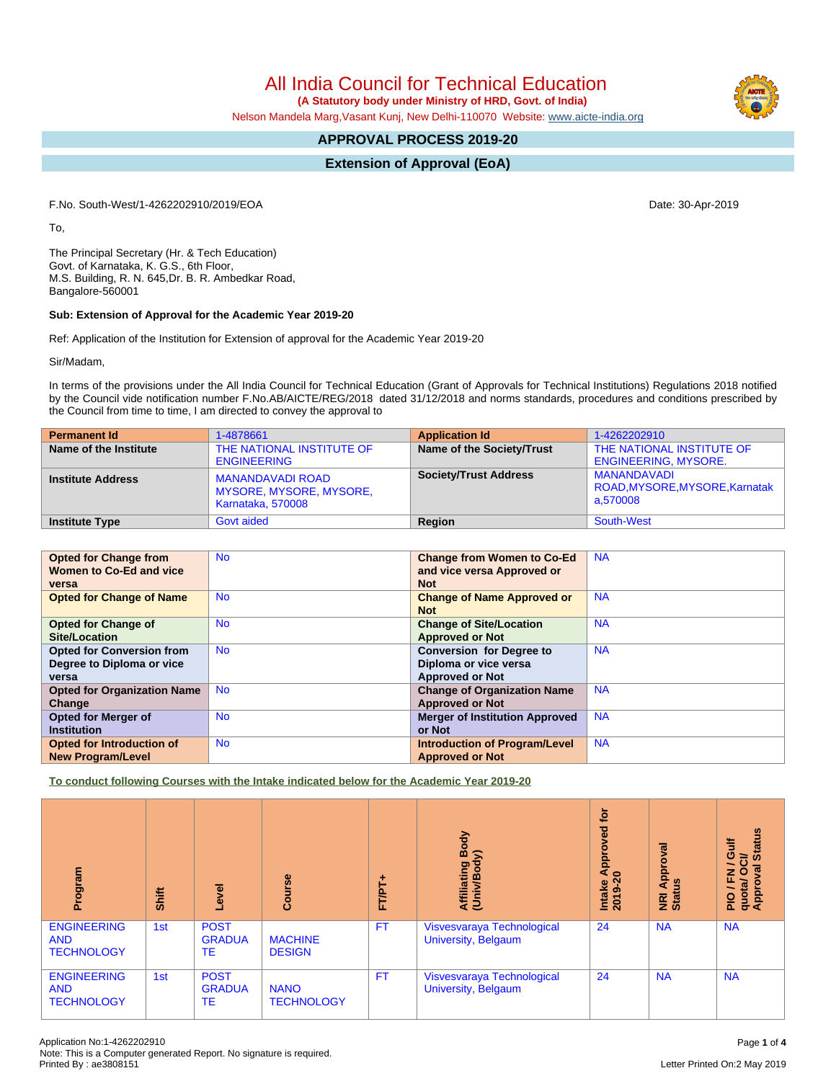All India Council for Technical Education

 **(A Statutory body under Ministry of HRD, Govt. of India)**

Nelson Mandela Marg,Vasant Kunj, New Delhi-110070 Website: [www.aicte-india.org](http://www.aicte-india.org)

# **APPROVAL PROCESS 2019-20**

## **Extension of Approval (EoA)**

F.No. South-West/1-4262202910/2019/EOA Date: 30-Apr-2019

To,

The Principal Secretary (Hr. & Tech Education) Govt. of Karnataka, K. G.S., 6th Floor, M.S. Building, R. N. 645,Dr. B. R. Ambedkar Road, Bangalore-560001

### **Sub: Extension of Approval for the Academic Year 2019-20**

Ref: Application of the Institution for Extension of approval for the Academic Year 2019-20

Sir/Madam,

In terms of the provisions under the All India Council for Technical Education (Grant of Approvals for Technical Institutions) Regulations 2018 notified by the Council vide notification number F.No.AB/AICTE/REG/2018 dated 31/12/2018 and norms standards, procedures and conditions prescribed by the Council from time to time, I am directed to convey the approval to

| <b>Permanent Id</b>      | 1-4878661                                                                      | <b>Application Id</b>        | 1-4262202910                                              |
|--------------------------|--------------------------------------------------------------------------------|------------------------------|-----------------------------------------------------------|
| Name of the Institute    | THE NATIONAL INSTITUTE OF<br><b>ENGINEERING</b>                                | Name of the Society/Trust    | THE NATIONAL INSTITUTE OF<br><b>ENGINEERING, MYSORE.</b>  |
| <b>Institute Address</b> | <b>MANANDAVADI ROAD</b><br><b>MYSORE, MYSORE, MYSORE,</b><br>Karnataka, 570008 | <b>Society/Trust Address</b> | MANANDAVADI<br>ROAD, MYSORE, MYSORE, Karnatak<br>a.570008 |
| <b>Institute Type</b>    | <b>Govt aided</b>                                                              | <b>Region</b>                | South-West                                                |

| <b>Opted for Change from</b>       | <b>No</b> | <b>Change from Women to Co-Ed</b>     | <b>NA</b> |
|------------------------------------|-----------|---------------------------------------|-----------|
| Women to Co-Ed and vice            |           | and vice versa Approved or            |           |
| versa                              |           | <b>Not</b>                            |           |
| <b>Opted for Change of Name</b>    | <b>No</b> | <b>Change of Name Approved or</b>     | <b>NA</b> |
|                                    |           | <b>Not</b>                            |           |
| <b>Opted for Change of</b>         | <b>No</b> | <b>Change of Site/Location</b>        | <b>NA</b> |
| Site/Location                      |           | <b>Approved or Not</b>                |           |
| <b>Opted for Conversion from</b>   | <b>No</b> | <b>Conversion for Degree to</b>       | <b>NA</b> |
| Degree to Diploma or vice          |           | Diploma or vice versa                 |           |
| versa                              |           | <b>Approved or Not</b>                |           |
| <b>Opted for Organization Name</b> | <b>No</b> | <b>Change of Organization Name</b>    | <b>NA</b> |
| Change                             |           | <b>Approved or Not</b>                |           |
| <b>Opted for Merger of</b>         | <b>No</b> | <b>Merger of Institution Approved</b> | <b>NA</b> |
| <b>Institution</b>                 |           | or Not                                |           |
| Opted for Introduction of          | <b>No</b> | <b>Introduction of Program/Level</b>  | <b>NA</b> |
| <b>New Program/Level</b>           |           | <b>Approved or Not</b>                |           |

**To conduct following Courses with the Intake indicated below for the Academic Year 2019-20**

| Program                                               | <b>Shift</b> | Level                              | Course                           | ۰<br>FT/PT. | Body<br>$\widehat{\boldsymbol{\delta}}$<br>Affiliating I<br>(Univ/Body | tor<br>yed<br>ē<br>Appr<br>$\circ$<br>Intake<br>ග<br>201 | ह<br>Approv<br><b>NRI Ap</b><br>Status | <b>Status</b><br>Gulf<br>$\vec{c}$<br>╮<br>ड़<br>O<br>준<br>quota/<br>Approv<br>∽<br>$\frac{1}{2}$ |
|-------------------------------------------------------|--------------|------------------------------------|----------------------------------|-------------|------------------------------------------------------------------------|----------------------------------------------------------|----------------------------------------|---------------------------------------------------------------------------------------------------|
| <b>ENGINEERING</b><br><b>AND</b><br><b>TECHNOLOGY</b> | 1st          | <b>POST</b><br><b>GRADUA</b><br>TE | <b>MACHINE</b><br><b>DESIGN</b>  | <b>FT</b>   | Visvesvaraya Technological<br>University, Belgaum                      | 24                                                       | <b>NA</b>                              | <b>NA</b>                                                                                         |
| <b>ENGINEERING</b><br><b>AND</b><br><b>TECHNOLOGY</b> | 1st          | <b>POST</b><br><b>GRADUA</b><br>TE | <b>NANO</b><br><b>TECHNOLOGY</b> | <b>FT</b>   | Visvesvaraya Technological<br>University, Belgaum                      | 24                                                       | <b>NA</b>                              | <b>NA</b>                                                                                         |

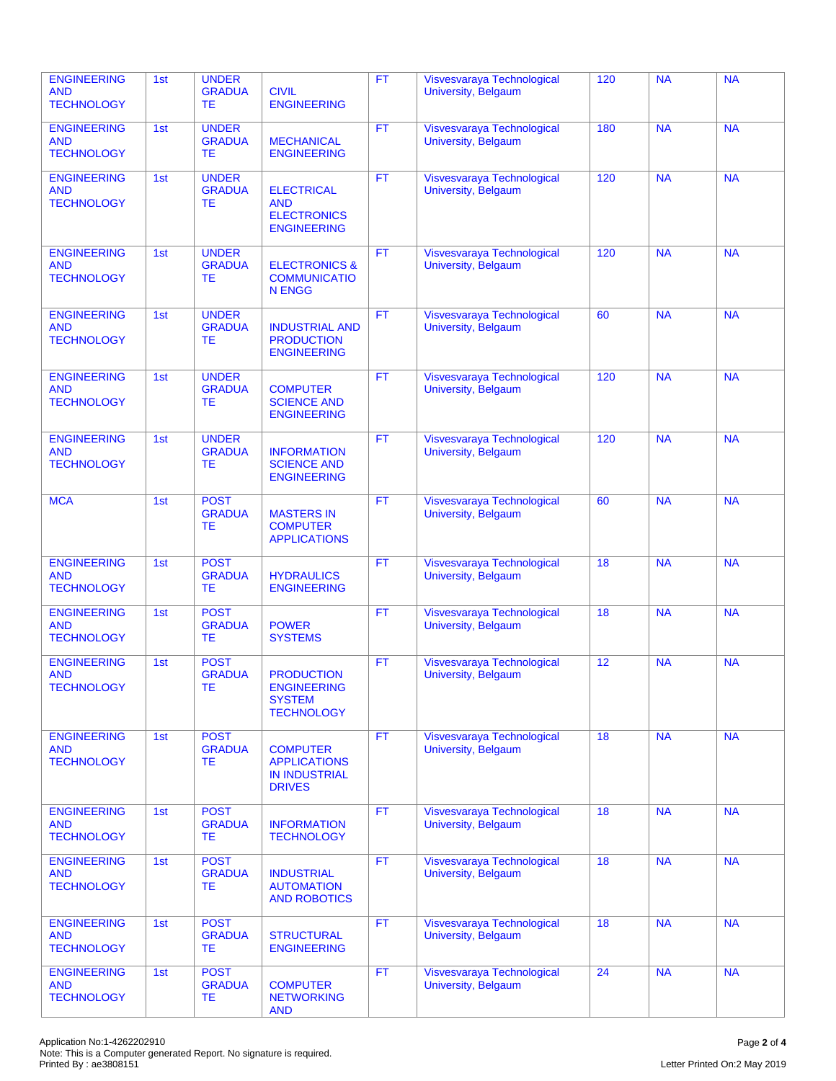| <b>ENGINEERING</b><br><b>AND</b><br><b>TECHNOLOGY</b> | 1st | <b>UNDER</b><br><b>GRADUA</b><br><b>TE</b> | <b>CIVIL</b><br><b>ENGINEERING</b>                                              | <b>FT</b> | Visvesvaraya Technological<br>University, Belgaum        | 120 | <b>NA</b> | <b>NA</b> |
|-------------------------------------------------------|-----|--------------------------------------------|---------------------------------------------------------------------------------|-----------|----------------------------------------------------------|-----|-----------|-----------|
| <b>ENGINEERING</b><br><b>AND</b><br><b>TECHNOLOGY</b> | 1st | <b>UNDER</b><br><b>GRADUA</b><br><b>TE</b> | <b>MECHANICAL</b><br><b>ENGINEERING</b>                                         | <b>FT</b> | Visvesvaraya Technological<br>University, Belgaum        | 180 | <b>NA</b> | <b>NA</b> |
| <b>ENGINEERING</b><br><b>AND</b><br><b>TECHNOLOGY</b> | 1st | <b>UNDER</b><br><b>GRADUA</b><br><b>TE</b> | <b>ELECTRICAL</b><br><b>AND</b><br><b>ELECTRONICS</b><br><b>ENGINEERING</b>     | <b>FT</b> | Visvesvaraya Technological<br><b>University, Belgaum</b> | 120 | <b>NA</b> | <b>NA</b> |
| <b>ENGINEERING</b><br><b>AND</b><br><b>TECHNOLOGY</b> | 1st | <b>UNDER</b><br><b>GRADUA</b><br><b>TE</b> | <b>ELECTRONICS &amp;</b><br><b>COMMUNICATIO</b><br><b>N ENGG</b>                | FT.       | Visvesvaraya Technological<br>University, Belgaum        | 120 | <b>NA</b> | <b>NA</b> |
| <b>ENGINEERING</b><br><b>AND</b><br><b>TECHNOLOGY</b> | 1st | <b>UNDER</b><br><b>GRADUA</b><br><b>TE</b> | <b>INDUSTRIAL AND</b><br><b>PRODUCTION</b><br><b>ENGINEERING</b>                | <b>FT</b> | Visvesvaraya Technological<br>University, Belgaum        | 60  | <b>NA</b> | <b>NA</b> |
| <b>ENGINEERING</b><br><b>AND</b><br><b>TECHNOLOGY</b> | 1st | <b>UNDER</b><br><b>GRADUA</b><br><b>TE</b> | <b>COMPUTER</b><br><b>SCIENCE AND</b><br><b>ENGINEERING</b>                     | <b>FT</b> | Visvesvaraya Technological<br>University, Belgaum        | 120 | <b>NA</b> | <b>NA</b> |
| <b>ENGINEERING</b><br><b>AND</b><br><b>TECHNOLOGY</b> | 1st | <b>UNDER</b><br><b>GRADUA</b><br><b>TE</b> | <b>INFORMATION</b><br><b>SCIENCE AND</b><br><b>ENGINEERING</b>                  | <b>FT</b> | Visvesvaraya Technological<br>University, Belgaum        | 120 | <b>NA</b> | <b>NA</b> |
| <b>MCA</b>                                            | 1st | <b>POST</b><br><b>GRADUA</b><br>TE         | <b>MASTERS IN</b><br><b>COMPUTER</b><br><b>APPLICATIONS</b>                     | <b>FT</b> | Visvesvaraya Technological<br>University, Belgaum        | 60  | <b>NA</b> | <b>NA</b> |
| <b>ENGINEERING</b><br><b>AND</b><br><b>TECHNOLOGY</b> | 1st | <b>POST</b><br><b>GRADUA</b><br><b>TE</b>  | <b>HYDRAULICS</b><br><b>ENGINEERING</b>                                         | <b>FT</b> | Visvesvaraya Technological<br>University, Belgaum        | 18  | <b>NA</b> | <b>NA</b> |
| <b>ENGINEERING</b><br><b>AND</b><br><b>TECHNOLOGY</b> | 1st | <b>POST</b><br><b>GRADUA</b><br><b>TE</b>  | <b>POWER</b><br><b>SYSTEMS</b>                                                  | <b>FT</b> | Visvesvaraya Technological<br>University, Belgaum        | 18  | <b>NA</b> | <b>NA</b> |
| <b>ENGINEERING</b><br><b>AND</b><br><b>TECHNOLOGY</b> | 1st | <b>POST</b><br><b>GRADUA</b><br>TE         | <b>PRODUCTION</b><br><b>ENGINEERING</b><br><b>SYSTEM</b><br><b>TECHNOLOGY</b>   | <b>FT</b> | Visvesvaraya Technological<br>University, Belgaum        | 12  | <b>NA</b> | <b>NA</b> |
| <b>ENGINEERING</b><br><b>AND</b><br><b>TECHNOLOGY</b> | 1st | <b>POST</b><br><b>GRADUA</b><br><b>TE</b>  | <b>COMPUTER</b><br><b>APPLICATIONS</b><br><b>IN INDUSTRIAL</b><br><b>DRIVES</b> | FT.       | Visvesvaraya Technological<br>University, Belgaum        | 18  | <b>NA</b> | <b>NA</b> |
| <b>ENGINEERING</b><br><b>AND</b><br><b>TECHNOLOGY</b> | 1st | <b>POST</b><br><b>GRADUA</b><br><b>TE</b>  | <b>INFORMATION</b><br><b>TECHNOLOGY</b>                                         | <b>FT</b> | Visvesvaraya Technological<br>University, Belgaum        | 18  | <b>NA</b> | <b>NA</b> |
| <b>ENGINEERING</b><br><b>AND</b><br><b>TECHNOLOGY</b> | 1st | <b>POST</b><br><b>GRADUA</b><br><b>TE</b>  | <b>INDUSTRIAL</b><br><b>AUTOMATION</b><br><b>AND ROBOTICS</b>                   | <b>FT</b> | Visvesvaraya Technological<br>University, Belgaum        | 18  | <b>NA</b> | <b>NA</b> |
| <b>ENGINEERING</b><br><b>AND</b><br><b>TECHNOLOGY</b> | 1st | <b>POST</b><br><b>GRADUA</b><br>TE.        | <b>STRUCTURAL</b><br><b>ENGINEERING</b>                                         | <b>FT</b> | Visvesvaraya Technological<br>University, Belgaum        | 18  | <b>NA</b> | <b>NA</b> |
| <b>ENGINEERING</b><br><b>AND</b><br><b>TECHNOLOGY</b> | 1st | <b>POST</b><br><b>GRADUA</b><br>TE         | <b>COMPUTER</b><br><b>NETWORKING</b><br><b>AND</b>                              | <b>FT</b> | Visvesvaraya Technological<br>University, Belgaum        | 24  | <b>NA</b> | <b>NA</b> |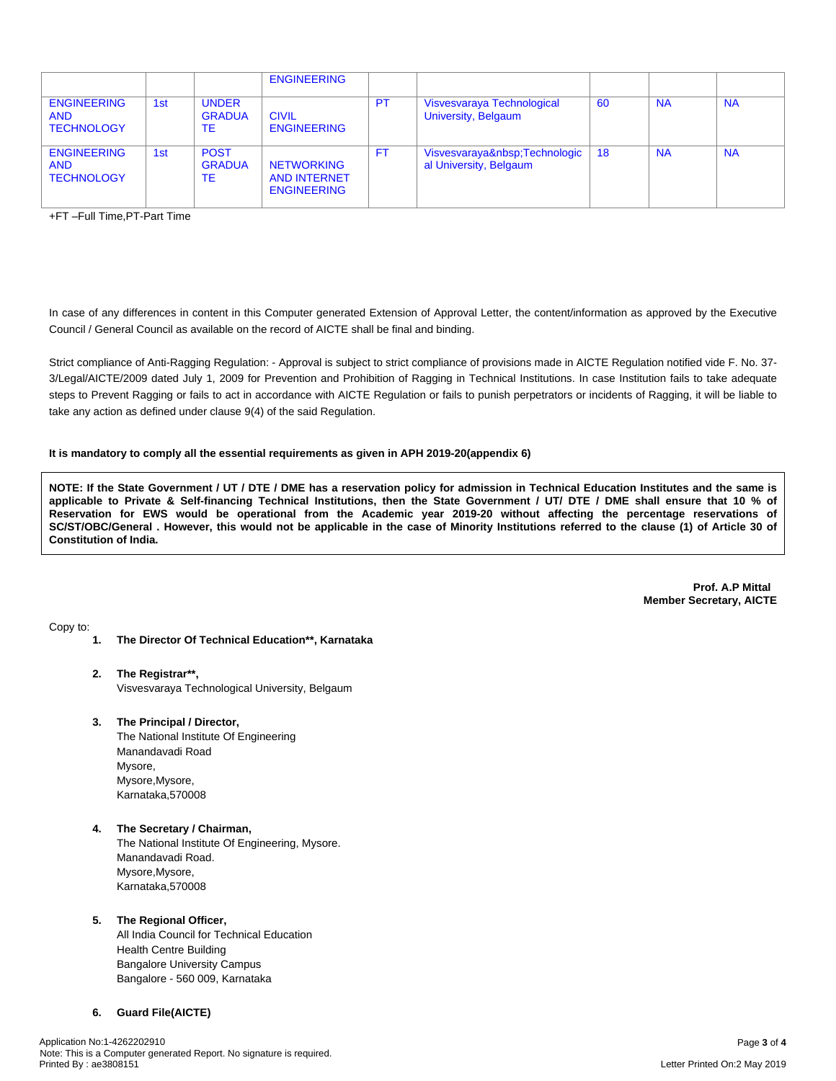|                                                       |     |                                     | <b>ENGINEERING</b>                                             |           |                                                    |    |           |           |
|-------------------------------------------------------|-----|-------------------------------------|----------------------------------------------------------------|-----------|----------------------------------------------------|----|-----------|-----------|
| <b>ENGINEERING</b><br><b>AND</b><br><b>TECHNOLOGY</b> | 1st | <b>UNDER</b><br><b>GRADUA</b><br>TE | <b>CIVIL</b><br><b>ENGINEERING</b>                             | <b>PT</b> | Visvesvaraya Technological<br>University, Belgaum  | 60 | <b>NA</b> | <b>NA</b> |
| <b>ENGINEERING</b><br><b>AND</b><br><b>TECHNOLOGY</b> | 1st | <b>POST</b><br><b>GRADUA</b><br>ТE  | <b>NETWORKING</b><br><b>AND INTERNET</b><br><b>ENGINEERING</b> | FT.       | Visvesvaraya Technologic<br>al University, Belgaum | 18 | <b>NA</b> | <b>NA</b> |

+FT –Full Time,PT-Part Time

In case of any differences in content in this Computer generated Extension of Approval Letter, the content/information as approved by the Executive Council / General Council as available on the record of AICTE shall be final and binding.

Strict compliance of Anti-Ragging Regulation: - Approval is subject to strict compliance of provisions made in AICTE Regulation notified vide F. No. 37- 3/Legal/AICTE/2009 dated July 1, 2009 for Prevention and Prohibition of Ragging in Technical Institutions. In case Institution fails to take adequate steps to Prevent Ragging or fails to act in accordance with AICTE Regulation or fails to punish perpetrators or incidents of Ragging, it will be liable to take any action as defined under clause 9(4) of the said Regulation.

### **It is mandatory to comply all the essential requirements as given in APH 2019-20(appendix 6)**

NOTE: If the State Government / UT / DTE / DME has a reservation policy for admission in Technical Education Institutes and the same is applicable to Private & Self-financing Technical Institutions, then the State Government / UT/ DTE / DME shall ensure that 10 % of Reservation for EWS would be operational from the Academic year 2019-20 without affecting the percentage reservations of SC/ST/OBC/General . However, this would not be applicable in the case of Minority Institutions referred to the clause (1) of Article 30 of **Constitution of India.**

> **Prof. A.P Mittal Member Secretary, AICTE**

Copy to:

- **1. The Director Of Technical Education\*\*, Karnataka**
- **2. The Registrar\*\*,** Visvesvaraya Technological University, Belgaum
- **3. The Principal / Director,**

The National Institute Of Engineering Manandavadi Road Mysore, Mysore,Mysore, Karnataka,570008

**4. The Secretary / Chairman,** The National Institute Of Engineering, Mysore. Manandavadi Road. Mysore,Mysore, Karnataka,570008

### **5. The Regional Officer,**

All India Council for Technical Education Health Centre Building Bangalore University Campus Bangalore - 560 009, Karnataka

### **6. Guard File(AICTE)**